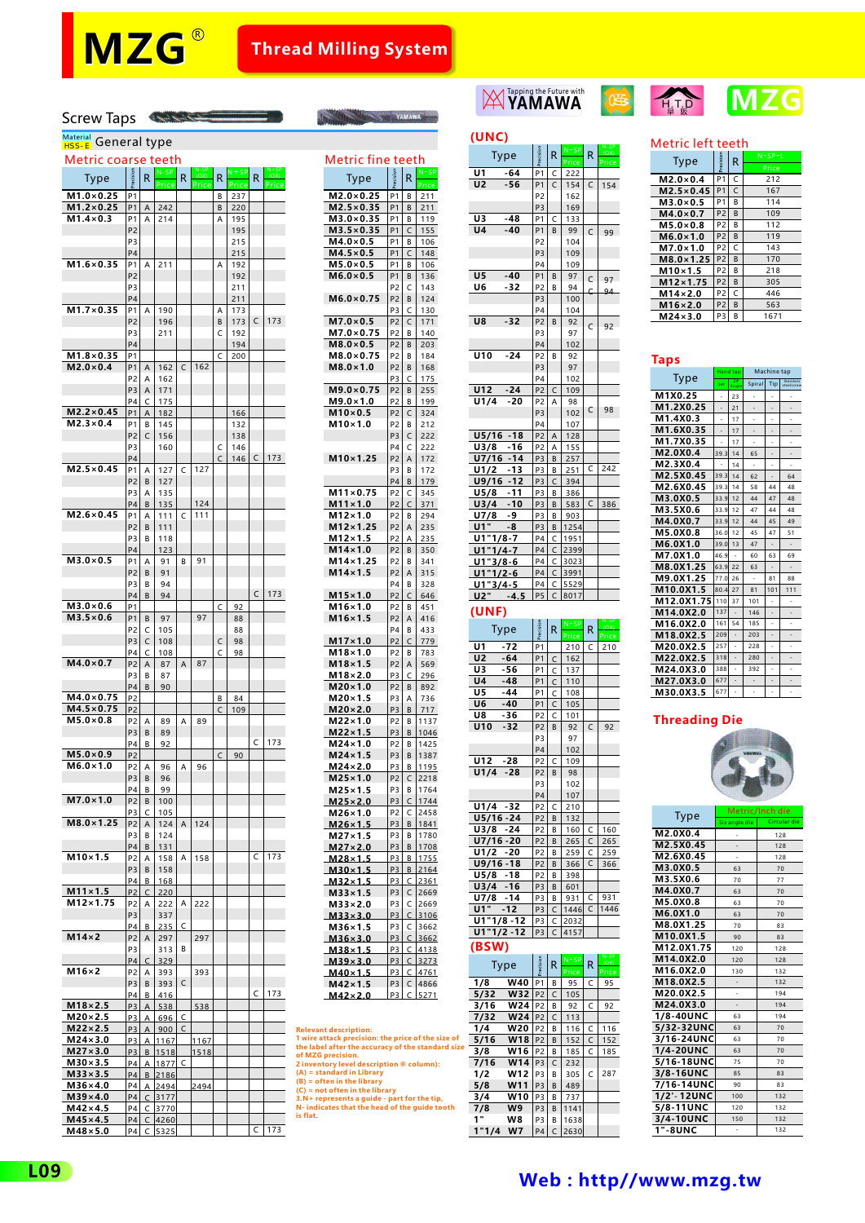# **Thread Milling System**

**Example 19 YAMAWA** 

## Screw Taps

## <sup>Material</sup> General type

| Metric coarse teeth |                |          |       |   |       |              |        |   |       | Metric fine teeth                                                 |                |
|---------------------|----------------|----------|-------|---|-------|--------------|--------|---|-------|-------------------------------------------------------------------|----------------|
|                     | ecision        | R        | N-SP  | R | (OX)  |              | N + SP | R |       | R                                                                 | N              |
| Type                |                |          | Price |   | Price | R            | Price  |   | Price | Type                                                              | P <sub>1</sub> |
| $M1.0\times0.25$    | P <sub>1</sub> |          |       |   |       | B            | 237    |   |       | $M2.0\times0.25$<br><b>P1</b><br>В                                | 2              |
| $M1.2\times0.25$    | P1             | Α        | 242   |   |       | B            | 220    |   |       | $M2.5 \times 0.35$<br>P <sub>1</sub><br>B                         | $\overline{a}$ |
| $M1.4\times0.3$     | <b>P1</b>      | A        | 214   |   |       | A            | 195    |   |       | M3.0×0.35<br>P <sub>1</sub><br>В                                  | 1              |
|                     | P <sub>2</sub> |          |       |   |       |              | 195    |   |       | $M3.5 \times 0.35$<br>P <sub>1</sub><br>C                         | $\mathbf{1}$   |
|                     | P3             |          |       |   |       |              | 215    |   |       | $M4.0\times0.5$<br>P <sub>1</sub><br>В                            | 1              |
|                     | P <sub>4</sub> |          |       |   |       |              | 215    |   |       | $M4.5 \times 0.5$<br>P <sub>1</sub><br>C                          | 1              |
| $M1.6\times 0.35$   | <b>P1</b>      | A        |       |   |       | A            |        |   |       |                                                                   |                |
|                     |                |          | 211   |   |       |              | 192    |   |       | M5.0×0.5<br>P <sub>1</sub><br>B                                   | 1              |
|                     | P <sub>2</sub> |          |       |   |       |              | 192    |   |       | $M6.0\times0.5$<br>P <sub>1</sub><br>В                            | $\mathbf{1}$   |
|                     | P <sub>3</sub> |          |       |   |       |              | 211    |   |       | P <sub>2</sub><br>C                                               | 1              |
|                     | P4             |          |       |   |       |              | 211    |   |       | $M6.0\times 0.75$<br>P <sub>2</sub><br>B                          | 1              |
| $M1.7\times 0.35$   | P1             | Α        | 190   |   |       | А            | 173    |   |       | C<br>P3                                                           | 1              |
|                     | P <sub>2</sub> |          | 196   |   |       | B            | 173    | C | 173   | $M7.0\times0.5$<br>P <sub>2</sub><br>C                            | $\mathbf{1}$   |
|                     | P <sub>3</sub> |          | 211   |   |       | C            | 192    |   |       | $M7.0\times 0.75$<br>P <sub>2</sub><br>В                          | 1              |
|                     | P <sub>4</sub> |          |       |   |       |              | 194    |   |       | $M8.0\times0.5$<br>P <sub>2</sub><br>B                            | $\overline{a}$ |
| $M1.8\times0.35$    | <b>P1</b>      |          |       |   |       | C            | 200    |   |       | M8.0×0.75<br>P <sub>2</sub><br>B                                  | 1              |
| $M2.0\times0.4$     | P <sub>1</sub> | Α        | 162   | C | 162   |              |        |   |       | $M8.0\times1.0$<br>P <sub>2</sub><br>B                            | $\mathbf{1}$   |
|                     | P <sub>2</sub> | А        | 162   |   |       |              |        |   |       | P3<br>C                                                           | 1              |
|                     | P3             | Α        | 171   |   |       |              |        |   |       | $M9.0\times 0.75$<br>P <sub>2</sub><br>B                          | $\overline{c}$ |
|                     | P <sub>4</sub> | C        | 175   |   |       |              |        |   |       | $M9.0\times1.0$<br>P <sub>2</sub><br>В                            | 1              |
|                     | P1             |          |       |   |       |              |        |   |       | $M10\times0.5$                                                    |                |
| $M2.2\times 0.45$   |                | А        | 182   |   |       |              | 166    |   |       | P <sub>2</sub><br>C                                               | 3              |
| $M2.3\times0.4$     | <b>P1</b>      | В        | 145   |   |       |              | 132    |   |       | M10×1.0<br>P <sub>2</sub><br>В                                    | 2              |
|                     | P <sub>2</sub> | C        | 156   |   |       |              | 138    |   |       | P <sub>3</sub><br>C                                               | $\overline{a}$ |
|                     | P <sub>3</sub> |          | 160   |   |       | C            | 146    |   |       | P <sub>4</sub><br>C                                               | 2              |
|                     | <b>P4</b>      |          |       |   |       | C            | 146    | C | 173   | $M10\times1.25$<br>P <sub>2</sub><br>Α                            | $\mathbf{1}$   |
| $M2.5\times0.45$    | P1             | Α        | 127   | C | 127   |              |        |   |       | P <sub>3</sub><br>B                                               | 1              |
|                     | P <sub>2</sub> | B        | 127   |   |       |              |        |   |       | P <sub>4</sub><br>B                                               | 1              |
|                     | P <sub>3</sub> | A        | 135   |   |       |              |        |   |       | M11×0.75<br>P <sub>2</sub><br>C                                   | 3              |
|                     | P <sub>4</sub> | B        | 135   |   | 124   |              |        |   |       | $M11 \times 1.0$<br>P <sub>2</sub><br>C                           | 3              |
| $M2.6\times0.45$    | <b>P1</b>      | А        | 111   | C | 111   |              |        |   |       | M12×1.0<br>P <sub>2</sub><br>В                                    | $\overline{a}$ |
|                     | P <sub>2</sub> |          |       |   |       |              |        |   |       |                                                                   |                |
|                     |                | B        | 111   |   |       |              |        |   |       | $M12\times1.25$<br>P <sub>2</sub><br>А                            | 2              |
|                     | P <sub>3</sub> | B        | 118   |   |       |              |        |   |       | $M12\times1.5$<br>P <sub>2</sub><br>А                             | 2              |
|                     | P <sub>4</sub> |          | 123   |   |       |              |        |   |       | $M14\times1.0$<br>P <sub>2</sub><br>B                             | 3              |
| $M3.0\times0.5$     | <b>P1</b>      | A        | 91    | B | 91    |              |        |   |       | M14×1.25<br>P <sub>2</sub><br>B                                   | 3              |
|                     | P <sub>2</sub> | B        | 91    |   |       |              |        |   |       | $M14\times1.5$<br>P <sub>2</sub><br>Α                             | 3              |
|                     | P3             | В        | 94    |   |       |              |        |   |       | P <sub>4</sub><br>B                                               | 3              |
|                     | P <sub>4</sub> | B        | 94    |   |       |              |        | C | 173   | $M15 \times 1.0$<br>P <sub>2</sub><br>C                           | 6              |
| $M3.0\times0.6$     | P <sub>1</sub> |          |       |   |       | C            | 92     |   |       | M16×1.0<br>P <sub>2</sub><br>B                                    | 4              |
| $M3.5\times0.6$     | P1             | В        | 97    |   | 97    |              | 88     |   |       | $M16 \times 1.5$<br>P <sub>2</sub><br>А                           | 4              |
|                     | P <sub>2</sub> | C        | 105   |   |       |              | 88     |   |       | P <sub>4</sub><br>В                                               | 4              |
|                     | P3             | C        | 108   |   |       | C            | 98     |   |       | $M17\times1.0$<br>P <sub>2</sub><br>C                             | 7              |
|                     | P4             |          | 108   |   |       |              | 98     |   |       | $M18\times1.0$                                                    | $\overline{7}$ |
| $M4.0\times0.7$     |                | C        |       |   |       | C            |        |   |       | P <sub>2</sub><br>В                                               |                |
|                     | P <sub>2</sub> | Α        | 87    | A | 87    |              |        |   |       | $M18 \times 1.5$<br>P <sub>2</sub><br>Α                           | 5              |
|                     | P3             | В        | 87    |   |       |              |        |   |       | $M18\times 2.0$<br>P3<br>C                                        | 2              |
|                     | P4             | B        | 90    |   |       |              |        |   |       | $M20\times1.0$<br>P <sub>2</sub><br>В                             | 8              |
| $M4.0\times 0.75$   | P <sub>2</sub> |          |       |   |       | В            | 84     |   |       | $M20\times1.5$<br>P <sub>3</sub><br>Α                             | 7              |
| $M4.5 \times 0.75$  | P <sub>2</sub> |          |       |   |       | C            | 109    |   |       | $M20 \times 2.0$<br>P3<br>B                                       | 7              |
| $M5.0\times0.8$     | P2             | А        | 89    | А | 89    |              |        |   |       | $M22\times1.0$<br>P2<br>В                                         | $1^{\circ}$    |
|                     | P3             | B        | 89    |   |       |              |        |   |       | $M22\times1.5$<br>P3<br>B                                         | 1 <sub>1</sub> |
|                     | P <sub>4</sub> | В        | 92    |   |       |              |        | C | 173   | $M24\times1.0$<br>P <sub>2</sub><br>B                             | 1.             |
| $M5.0\times0.9$     | P <sub>2</sub> |          |       |   |       | $\mathsf{C}$ | 90     |   |       | $M24\times1.5$<br>P <sub>3</sub><br>В                             | 1              |
| $M6.0\times1.0$     | P2             | А        | 96    | А | 96    |              |        |   |       | $M24\times2.0$<br>P3<br>В                                         | $1^{\circ}$    |
|                     | P3             | B        | 96    |   |       |              |        |   |       | $M25 \times 1.0$<br>P <sub>2</sub><br>C                           | 2              |
|                     | P <sub>4</sub> | В        | 99    |   |       |              |        |   |       | P <sub>3</sub><br>В                                               | $1^{\circ}$    |
| $M7.0\times1.0$     | P <sub>2</sub> | B        | 100   |   |       |              |        |   |       | $M25 \times 1.5$<br>$M25 \times 2.0$<br>P3<br>C                   | 1              |
|                     |                |          |       |   |       |              |        |   |       |                                                                   |                |
|                     | P3             | C        | 105   |   |       |              |        |   |       | $M26\times1.0$<br>C<br>P <sub>2</sub>                             | 2              |
| $M8.0 \times 1.25$  | P <sub>2</sub> | Α        | 124   | Α | 124   |              |        |   |       | $M26\times1.5$<br>P3<br>В                                         | 1              |
|                     | P3             | B        | 124   |   |       |              |        |   |       | M27×1.5<br>P <sub>3</sub><br>В                                    | $1^{\circ}$    |
|                     | P <sub>4</sub> | B        | 131   |   |       |              |        |   |       | <u>M27×2.0</u><br>P3<br>$\overline{B}$                            | 1              |
| $M10\times1.5$      | P <sub>2</sub> | А        | 158   | A | 158   |              |        | C | 173   | M28×1.5<br>P3<br>В                                                | $1^{\circ}$    |
|                     | P3             | B        | 158   |   |       |              |        |   |       | $M30 \times 1.5$<br>P3<br>В                                       | $2^{\circ}$    |
|                     | P4             | В        | 168   |   |       |              |        |   |       | <u>M32×1.5</u><br>P <sub>3</sub><br>$\mathsf{C}$                  | $\overline{2}$ |
| $M11\times1.5$      | P <sub>2</sub> | C        | 220   |   |       |              |        |   |       | $M33 \times 1.5$<br>P3<br>C                                       | $\overline{2}$ |
| M12×1.75            | P2             | А        | 222   | А | 222   |              |        |   |       | P3<br>M33×2.0<br>C                                                | $\overline{2}$ |
|                     | P3             |          | 337   |   |       |              |        |   |       | $M33 \times 3.0$<br>P3<br>C                                       | 3 <sup>2</sup> |
|                     | P4             | В        | 235   | C |       |              |        |   |       | M36×1.5<br>P <sub>3</sub><br>C                                    | 3              |
| $M14\times2$        | P2             | А        | 297   |   | 297   |              |        |   |       | P <sub>3</sub><br>C                                               |                |
|                     | P <sub>3</sub> |          |       | в |       |              |        |   |       | $M36 \times 3.0$                                                  | $\overline{3}$ |
|                     |                |          | 313   |   |       |              |        |   |       | <u>M38×1.5</u><br>P3<br>$\overline{\mathsf{c}}$                   | $\overline{4}$ |
|                     | P <sub>4</sub> | C        | 329   |   |       |              |        |   |       | P <sub>3</sub><br>$M39 \times 3.0$<br>C                           | 3              |
| M16×2               | P2             | А        | 393   |   | 393   |              |        |   |       | $M40\times1.5$<br><u>P3</u><br>C                                  | $\overline{4}$ |
|                     | P <sub>3</sub> | В        | 393   | C |       |              |        |   |       | $M42 \times 1.5$<br>P <sub>3</sub><br>C                           | 4i             |
|                     | P <sub>4</sub> | B        | 416   |   |       |              |        | C | 173   | P3<br>C<br>$M42\times2.0$                                         | 5.             |
| $M18\times 2.5$     | P3             | А        | 538   |   | 538   |              |        |   |       |                                                                   |                |
| $M20\times 2.5$     | <u>P3</u>      | <u>A</u> | 696   | C |       |              |        |   |       |                                                                   |                |
| $M22\times 2.5$     | <u>P3</u>      | A        | 900   | C |       |              |        |   |       | <b>Relevant description:</b>                                      |                |
| $M24\times3.0$      | P <sub>3</sub> | A        | 1167  |   | 1167  |              |        |   |       | 1 wire attack precision: the price of t                           |                |
| $M27\times3.0$      | P <sub>3</sub> | B        | 1518  |   | 1518  |              |        |   |       | the label after the accuracy of the st                            |                |
| $M30\times3.5$      |                |          |       | C |       |              |        |   |       | of MZG precision.                                                 |                |
| $M33 \times 3.5$    | P4             | А        | 1877  |   |       |              |        |   |       | 2 inventory level description ® colu<br>(A) = standard in Library |                |
|                     | P4             | B        | 2186  |   |       |              |        |   |       | $(B) =$ often in the library                                      |                |
| $M36\times4.0$      | P4             | Α        | 2494  |   | 2494  |              |        |   |       | $(C)$ = not often in the library                                  |                |
| $M39\times4.0$      | P4             | C        | 3177  |   |       |              |        |   |       | 3.N+ represents a guide - part for th                             |                |
| M42×4.5             | P4             | C        | 3770  |   |       |              |        |   |       | N-indicates that the head of the gui<br>is flat.                  |                |
| $M45 \times 4.5$    | P4             | C        | 4260  |   |       |              |        |   |       |                                                                   |                |
| $M48 \times 5.0$    | P4             | C        | 5325  |   |       |              |        | C | 173   |                                                                   |                |

| Metric fine teeth                    |                                  |                            |               |
|--------------------------------------|----------------------------------|----------------------------|---------------|
| Type                                 | <b>ISIOF</b>                     | R                          | N-SP<br>Price |
| $\overline{\mathsf{M2.0}}\times0.25$ | P <sub>1</sub>                   | B                          | 211           |
| $M2.5 \times 0.35$                   | P <sub>1</sub>                   | B                          | 211           |
| $M3.0 \times 0.35$                   | P1                               | B                          | 119           |
| $M3.5 \times 0.35$                   | P <sub>1</sub>                   | C                          | 155           |
| M4.0×0.5                             | Р1                               | В                          | 106           |
| $M4.5\times0.5$                      | P1                               | C                          | 148           |
| M5.0×0.5<br>$M6.0\times0.5$          | P1<br>P1                         | в<br>B                     | 106<br>136    |
|                                      | P <sub>2</sub>                   | C                          | 143           |
| $M6.0\times 0.75$                    | P <sub>2</sub>                   | B                          | 124           |
|                                      | P3                               | C                          | 130           |
| $M7.0\times0.5$                      | P <sub>2</sub>                   | C                          | 171           |
| M7.0×0.75                            | P2                               | B                          | 140           |
| $M8.0\times0.5$                      | P <sub>2</sub>                   | B                          | 203           |
| M8.0×0.75                            | P <sub>2</sub>                   | В                          | 184           |
| $M8.0\times1.0$                      | P2                               | B                          | 168           |
|                                      | P3                               | C                          | 175           |
| $M9.0\times 0.75$                    | P <sub>2</sub>                   | В                          | 255           |
| M9.0×1.0                             | P <sub>2</sub>                   | B                          | 199           |
| $M10\times0.5$<br>$M10\times1.0$     | P <sub>2</sub><br>P <sub>2</sub> | C<br>В                     | 324<br>212    |
|                                      | P3                               | C                          | 222           |
|                                      | P4                               | C                          | 222           |
| $M10\times1.25$                      | P2                               | Α                          | 172           |
|                                      | P3                               | В                          | 172           |
|                                      | P4                               | B                          | 179           |
| $M11\times0.75$                      | P <sub>2</sub>                   | C                          | 345           |
| $M11\times1.0$                       | P <sub>2</sub>                   | C                          | 371           |
| M12×1.0                              | P2                               | в                          | 294           |
| $M12\times1.25$                      | P <sub>2</sub>                   | A                          | 235           |
| M12×1.5                              | P <sub>2</sub>                   | Α                          | 235           |
| $M14\times1.0$                       | P2                               | B                          | 350           |
| M14×1.25<br>$M14\times1.5$           | P <sub>2</sub>                   | В                          | 341           |
|                                      | P2<br>P4                         | A<br>B                     | 315<br>328    |
| $M15 \times 1.0$                     | P <sub>2</sub>                   | C                          | 646           |
| $M16\times1.0$                       | P <sub>2</sub>                   | в                          | 451           |
| $M16\times1.5$                       | P <sub>2</sub>                   | Α                          | 416           |
|                                      | P4                               | В                          | 433           |
| $M17\times1.0$                       | P <sub>2</sub>                   | Ċ                          | 779           |
| M18×1.0                              | P2                               | В                          | 783           |
| $M18\times1.5$                       | P2                               | A                          | 569           |
| M18×2.0                              | <u>P3</u>                        | C                          | 296           |
| $M20\times1.0$                       | P <sub>2</sub>                   | B                          | 892           |
| $M20\times1.5$                       | P3                               | А                          | 736<br>717    |
| $M20 \times 2.0$<br>M22×1.0          | P3<br>P <sub>2</sub>             | $\overline{B}$<br>в        | 1137          |
| $M22\times1.5$                       | P3                               | B                          | 1046          |
| M24×1.0                              | P2                               | B                          | 1425          |
| $M24\times1.5$                       | P3                               | B                          | 1387          |
| <u> M24×2.0</u>                      | P3                               | B                          | 1195          |
| M25×1.0                              | P <sub>2</sub>                   | C                          | 2218          |
| MZ5×1.<br>د.                         | ۲3                               | в                          | 1764          |
| $M25 \times 2.0$                     | P3                               | $\overline{C}$             | 1744          |
| M26×1.0                              | P2                               | C                          | 2458          |
| $M26 \times 1.5$                     | P <sub>3</sub>                   | B                          | 1841          |
| M27×1.5                              | P3                               | B                          | 1780          |
| $M27\times 2.0$                      | P3                               | B                          | 1708          |
| <u> M28×1.5</u><br>$M30\times1.5$    | <u>P3</u><br>P <sub>3</sub>      | <u>B</u><br>$\overline{B}$ | <u> 1755</u>  |
| $M32\times1.5$                       | <u>P3</u>                        | $\overline{C}$             | 2164<br>2361  |
| $M33 \times 1.5$                     | P3                               | C                          | 2669          |
| M33×2.0                              | P3                               | C                          | 2669          |
| $M33 \times 3.0$                     | P <sub>3</sub>                   | $\overline{C}$             | 3106          |
| $M36 \times 1.5$                     | P3                               | $\mathsf{C}$               | 3662          |
| $M36 \times 3.0$                     | P <sub>3</sub>                   | $\subset$                  | 3662          |
|                                      | <u>P3</u>                        | ⊆                          | 4138          |
| M38×1.5                              |                                  |                            |               |
| $M39 \times 3.0$                     | <u>P3</u>                        | C                          | 3273          |
| M40×1.5<br>$M42\times1.5$            | <u>P3</u><br>P <sub>3</sub>      | $\subseteq$<br>C           | 4761<br>4866  |

| M42×2.0<br>P3 C 5271                                                   | 5732 |
|------------------------------------------------------------------------|------|
|                                                                        | 3/16 |
|                                                                        | 7/32 |
| <b>Relevant description:</b>                                           | 1/4  |
| 1 wire attack precision: the price of the size of                      | 5/16 |
| the label after the accuracy of the standard size<br>of MZG precision. | 3/8  |
| 2 inventory level description ® column):                               | 7/16 |
| (A) = standard in Library                                              | 1/2  |
| $(B) =$ often in the library<br>$(C)$ = not often in the library       | 5/8  |
| 3.N+ represents a quide - part for the tip,                            | 3/4  |
| N-indicates that the head of the quide tooth                           | 7/8  |
| is flat.                                                               | 1"   |

| (UNC)                            |                |        |                  |              |                      |
|----------------------------------|----------------|--------|------------------|--------------|----------------------|
| Type                             | recision       | R      | $N = SP$         | R            | (OX)                 |
| U1<br>-64                        | P <sub>1</sub> | C      | Price<br>222     |              | Price                |
| U <sub>2</sub><br>$-56$          | P <sub>1</sub> | C      | 154              | C            | 154                  |
|                                  | P <sub>2</sub> |        | 162              |              |                      |
|                                  | P3             |        | 169              |              |                      |
| U3<br>-48                        | P1             | C      | 133              |              |                      |
| <b>U4</b><br>$-40$               | P1             | B      | 99               | C            | 99                   |
|                                  | P <sub>2</sub> |        | 104              |              |                      |
|                                  | P <sub>3</sub> |        | 109              |              |                      |
|                                  | P4             |        | 109              |              |                      |
| U5<br>$-40$                      | P1             | B      | 97               | C            | 97                   |
| -32<br>U6                        | P <sub>2</sub> | B      | 94               | Ć            | 94                   |
|                                  | P3             |        | 100              |              |                      |
|                                  | P <sub>4</sub> |        | 104              |              |                      |
| U8<br>-32                        | P <sub>2</sub> | B      | 92               |              |                      |
|                                  | P <sub>3</sub> |        | 97               | $\mathsf{C}$ | 92                   |
|                                  | P <sub>4</sub> |        | 102              |              |                      |
| $-24$<br>U10                     | P <sub>2</sub> | B      | 92               |              |                      |
|                                  | P3             |        | 97               |              |                      |
|                                  | P4             |        | 102              |              |                      |
| U12 -24                          | P <sub>2</sub> | C      | 109              |              |                      |
| U1/4<br>$-20$                    | P <sub>2</sub> | A      | 98               |              |                      |
|                                  | P <sub>3</sub> |        | 102              | C            | 98                   |
|                                  | P4             |        | 107              |              |                      |
| $U5/16 - 18$                     | P2             | Α      | 128              |              |                      |
| U3/8<br>-16                      | P2             | A      | 155              |              |                      |
| $U7/16 - 14$                     | P3             | B      | 257              |              |                      |
| $-13$<br>U1/2                    | P3             | B      | 251              | C            | 242                  |
| $U9/16 - 12$                     | P3             | C      | 394              |              |                      |
| U5/8<br>$-11$                    | P3             | B      | 386              |              |                      |
| U <sub>3/4</sub><br>$-10$        | P3             | B      | 583              | C            | 386                  |
| U7/8<br>-9                       | P3             | В      | 903              |              |                      |
| U1"<br>-8                        | P3             | B      | 1254             |              |                      |
| $U1"1/8-7$                       | P4             | C      | 1951             |              |                      |
| $U1"1/4-7$                       | P4             | C      | 2399             |              |                      |
| $U1''3/8-6$<br>$U1"1/2-6$        | P4             | C      | 3023             |              |                      |
|                                  | P4<br>P4       | C<br>C | 3991             |              |                      |
| U1"3/4-5<br><u>U2"</u><br>$-4.5$ | P <sub>5</sub> | C      | 5529<br>8017     |              |                      |
| (UNF)                            |                |        |                  |              |                      |
| Type                             | Precision      | R      | $N$ –SP<br>Price | R            | √-SI<br>'OX<br>Price |
| $-72$<br>U1                      | P1             |        | 210              | C            | 210                  |
| $-64$<br>U2                      | P1             | C      | 162              |              |                      |
| U3<br>-56                        | P <sub>1</sub> | C      | 137              |              |                      |
| U4<br>-48                        | P <sub>1</sub> | C      | 110              |              |                      |
| U5<br>-44                        | P <sub>1</sub> | C      | 108              |              |                      |
| U6<br>$-40$                      | P1             | C      | 105              |              |                      |

**Tapping the Future with** 

 $\overline{\phantom{a}}$ P1 P2 P2 P3 P4 C C B 105<br>
101<br>
92<br>
97<br>
102 **U8 -36 U10 -32** C 92  $\sqrt{109}$ **U12 -28 U1/4 -28** P2 C B 98 P2 P3 102  $P4$ 107 210 **U1/4 -32 U5/16 -24** P2 P2 C B 132 **U3/8 -24 U7/16 -20 U1/2 -20 U9/16 -18** C C C C P2<br>P2<br>P2<br>P2 B B B B 160<br>265<br>259<br>366 160<br>
265<br>
259<br>
366 **U5/8 -18 U3/4 -16 U7/8 -14 U1" -12 U1"1/8 -12 U1"1/2 -12** P<sub>3</sub><br>P<sub>3</sub><br>P<sub>3</sub><br>P<sub>3</sub> B B B C C C 398 601 931 1446 2032 4157 C 931<br>C 1446

### **(BSW)**

| Type  |                 | Precision      | R            | $N - SP$ | R | $N-SP$<br>(OX) |
|-------|-----------------|----------------|--------------|----------|---|----------------|
|       |                 |                |              | Price    |   | Price          |
| 1/8   | <b>W40</b>      | P <sub>1</sub> | B            | 95       | C | 95             |
| 5/32  | W32             | P <sub>2</sub> | $\mathsf{C}$ | 105      |   |                |
| 3/16  | W24             | P <sub>2</sub> | B            | 92       | C | 92             |
| 7/32  | <b>W24</b>      | P <sub>2</sub> | C            | 113      |   |                |
| 1/4   | <b>W20</b>      | P <sub>2</sub> | B            | 116      | C | 116            |
| 5/16  | W <sub>18</sub> | P <sub>2</sub> | B            | 152      | C | 152            |
| 3/8   | W16             | P <sub>2</sub> | B            | 185      | C | 185            |
| 7/16  | W <sub>14</sub> | P <sub>3</sub> | $\mathsf{C}$ | 232      |   |                |
| 1/2   | W12             | P <sub>3</sub> | B            | 305      | C | 287            |
| 5/8   | W11             | P <sub>3</sub> | B            | 489      |   |                |
| 3/4   | W10             | P <sub>3</sub> | B            | 737      |   |                |
| 7/8   | W9              | P <sub>3</sub> | B            | 1141     |   |                |
| 1"    | W8              | P <sub>3</sub> | B            | 1638     |   |                |
| 1"1/4 | W7              | P <sub>4</sub> | C            | 2630     |   |                |





#### Metric left teeth

|                |              | $N-SP-1$ |  |  |  |  |  |  |  |
|----------------|--------------|----------|--|--|--|--|--|--|--|
|                |              | Price    |  |  |  |  |  |  |  |
| P <sub>1</sub> | C            | 212      |  |  |  |  |  |  |  |
| P <sub>1</sub> | $\mathsf{C}$ | 167      |  |  |  |  |  |  |  |
| P1             | B            | 114      |  |  |  |  |  |  |  |
| P <sub>2</sub> | B            | 109      |  |  |  |  |  |  |  |
| P <sub>2</sub> | B            | 112      |  |  |  |  |  |  |  |
| P <sub>2</sub> | B            | 119      |  |  |  |  |  |  |  |
| P <sub>2</sub> | C            | 143      |  |  |  |  |  |  |  |
| P <sub>2</sub> | B            | 170      |  |  |  |  |  |  |  |
| P <sub>2</sub> | B            | 218      |  |  |  |  |  |  |  |
| P <sub>2</sub> | B            | 305      |  |  |  |  |  |  |  |
| P <sub>2</sub> | $\mathsf{C}$ | 446      |  |  |  |  |  |  |  |
| P <sub>2</sub> | B            | 563      |  |  |  |  |  |  |  |
| P <sub>3</sub> | B            | 1671     |  |  |  |  |  |  |  |
|                | Precision    | R        |  |  |  |  |  |  |  |

### **Taps**

| iaps       |                |              |             |                |                         |  |
|------------|----------------|--------------|-------------|----------------|-------------------------|--|
|            |                | Hand tap     | Machine tap |                |                         |  |
| Type       | Set            | 2#<br>Single | Spiral      | Tip            | Stainless<br>steelscrew |  |
| M1X0.25    |                | 23           |             |                |                         |  |
| M1.2X0.25  | ÷              | 21           |             |                |                         |  |
| M1.4X0.3   |                | 17           |             |                |                         |  |
| M1.6X0.35  | $\overline{a}$ | 17           |             |                |                         |  |
| M1.7X0.35  |                | 17           |             |                |                         |  |
| M2.0X0.4   | 39.3           | 14           | 65          |                |                         |  |
| M2.3X0.4   |                | 14           |             |                |                         |  |
| M2.5X0.45  | 39.3           | 14           | 62          | ٠              | 64                      |  |
| M2.6X0.45  | 39.3           | 14           | 58          | 44             | 48                      |  |
| M3.0X0.5   | 33.9           | 12           | 44          | 47             | 48                      |  |
| M3.5X0.6   | 33.9           | 12           | 47          | 44             | 48                      |  |
| M4.0X0.7   | 33.9           | 12           | 44          | 45             | 49                      |  |
| M5.0X0.8   | 36.0           | 12           | 45          | 47             | 51                      |  |
| M6.0X1.0   | 39.0           | 13           | 47          |                |                         |  |
| M7.0X1.0   | 46.9           | ä,           | 60          | 63             | 69                      |  |
| M8.0X1.25  | 63.9           | 22           | 63          |                |                         |  |
| M9.0X1.25  | 77.0           | 26           |             | 81             | 88                      |  |
| M10.0X1.5  | 80.4           | 27           | 81          | 101            | 111                     |  |
| M12.0X1.75 | 110            | 37           | 101         |                |                         |  |
| M14.0X2.0  | 137            |              | 146         |                |                         |  |
| M16.0X2.0  | 161            | 54           | 185         | ٠              |                         |  |
| M18.0X2.5  | 209            |              | 203         |                |                         |  |
| M20.0X2.5  | 257            | ä,           | 228         | i,             |                         |  |
| M22.0X2.5  | 318            |              | 280         | $\overline{a}$ |                         |  |
| M24.0X3.0  | 388            | ä,           | 392         | ٠              |                         |  |
| M27.0X3.0  | 677            |              |             |                |                         |  |
| M30.0X3.5  | 677            | ÷,           | i,          | i,             | ٠                       |  |

### **Threading Die**



|                  | Metric/Inch die |              |  |  |  |  |
|------------------|-----------------|--------------|--|--|--|--|
| Type             | Six angle die   | Circular die |  |  |  |  |
| M2.0X0.4         |                 | 128          |  |  |  |  |
| M2.5X0.45        |                 | 128          |  |  |  |  |
| M2.6X0.45        |                 | 128          |  |  |  |  |
| M3.0X0.5         | 63              | 70           |  |  |  |  |
| M3.5X0.6         | 70              | 77           |  |  |  |  |
| M4.0X0.7         | 63              | 70           |  |  |  |  |
| M5.0X0.8         | 63              | 70           |  |  |  |  |
| M6.0X1.0         | 63              | 70           |  |  |  |  |
| M8.0X1.25        | 70              | 83           |  |  |  |  |
| M10.0X1.5        | 90              | 83           |  |  |  |  |
| M12.0X1.75       | 120             | 128          |  |  |  |  |
| M14.0X2.0        | 120             | 128          |  |  |  |  |
| M16.0X2.0        | 130             | 132          |  |  |  |  |
| M18.0X2.5        |                 | 132          |  |  |  |  |
| M20.0X2.5        |                 | 194          |  |  |  |  |
| M24.0X3.0        |                 | 194          |  |  |  |  |
| <b>1/8-40UNC</b> | 63              | 194          |  |  |  |  |
| 5/32-32UNC       | 63              | 70           |  |  |  |  |
| 3/16-24UNC       | 63              | 70           |  |  |  |  |
| <b>1/4-20UNC</b> | 63              | 70           |  |  |  |  |
| 5/16-18UNC       | 75              | 70           |  |  |  |  |
| 3/8-16UNC        | 85              | 83           |  |  |  |  |
| 7/16-14UNC       | 90              | 83           |  |  |  |  |
| 1/2'-12UNC       | 100             | 132          |  |  |  |  |
| 5/8-11UNC        | 120             | 132          |  |  |  |  |
| 3/4-10UNC        | 150             | 132          |  |  |  |  |
| 1"-8UNC          | ä,              | 132          |  |  |  |  |

# **L09 Web:[http//www.mzg.tw](http://www.mzg.tw)**